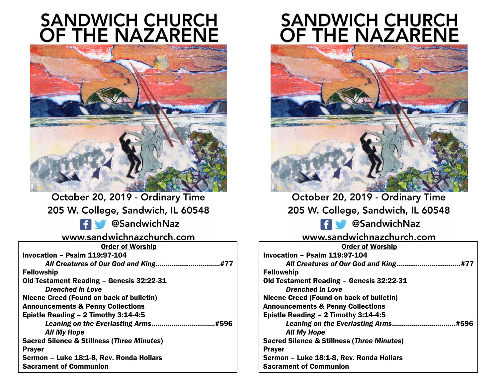# **SANDWICH CHURCH<br>OF THE NAZARENE**



October 20, 2019 - Ordinary Time 205 W. College, Sandwich, IL 60548 **Ed CondwichNaz** www.sandwichnazchurch.com Order of Worship Invocation – Psalm 119:97-104 *All Creatures of Our God and King*…...........................…#77 *Drenched in Love*

Fellowship Old Testament Reading – Genesis 32:22-31 Nicene Creed (Found on back of bulletin) Announcements & Penny Collections Epistle Reading – 2 Timothy 3:14-4:5 *Leaning on the Everlasting Arms*………………………..…#596 *All My Hope* Sacred Silence & Stillness (*Three Minutes*) Prayer Sermon – Luke 18:1-8, Rev. Ronda Hollars Sacrament of Communion

# **SANDWICH CHURCH<br>OF THE NAZARENE**



October 20, 2019 - Ordinary Time 205 W. College, Sandwich, IL 60548

**Ed CondwichNaz** 

# www.sandwichnazchurch.com

| <b>Order of Worship</b>                               |
|-------------------------------------------------------|
| Invocation - Psalm 119:97-104                         |
| All Creatures of Our God and King.<br>#77             |
| <b>Fellowship</b>                                     |
| Old Testament Reading - Genesis 32:22-31              |
| Drenched in Love                                      |
| Nicene Creed (Found on back of bulletin)              |
| <b>Announcements &amp; Penny Collections</b>          |
| Epistle Reading - 2 Timothy 3:14-4:5                  |
| Leaning on the Everlasting Arms<br>.#596              |
| <b>All My Hope</b>                                    |
| <b>Sacred Silence &amp; Stillness (Three Minutes)</b> |
| <b>Prayer</b>                                         |
| Sermon - Luke 18:1-8, Rev. Ronda Hollars              |
| <b>Sacrament of Communion</b>                         |